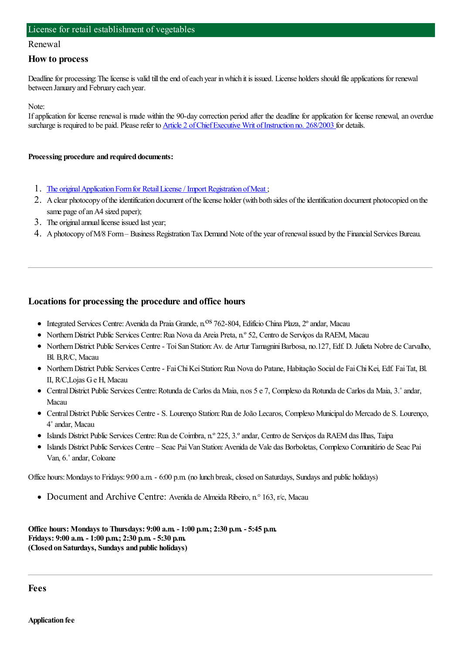#### License for retail establishment of vegetables

#### Renewal

#### **How to process**

Deadline for processing: The license is valid till the end of each year in which it is issued. License holders should file applications for renewal between January and February each year.

Note:

Ifapplication for license renewal is made within the 90-day correction period after the deadline for application for license renewal, an overdue surcharge is required to be paid. Please refer to Article 2 of Chief Executive Writ of Instruction no. 268/2003 for details.

#### **Processing procedure and required documents:**

- 1. The original Application Form for Retail License / Import Registration of Meat;
- 2. A clear photocopy of the identification document of the license holder (with both sides of the identification document photocopied on the same page of an A4 sized paper);
- 3. The original annual license issued last year;
- 4. A photocopy of M/8 Form Business Registration Tax Demand Note of the year of renewal issued by the Financial Services Bureau.

### **Locations for processing the procedure and office hours**

- $\bullet$  Integrated Services Centre: Avenida da Praia Grande, n.<sup>OS</sup> 762-804, Edifício China Plaza, 2° andar, Macau
- NorthernDistrict Public Services Centre:Rua Nova da Areia Preta, n.º 52, Centro de Serviços da RAEM, Macau
- NorthernDistrict Public Services Centre- ToiSan Station:Av. de Artur TamagniniBarbosa, no.127, Edf. D. Julieta Nobre de Carvalho, Bl. B,R/C, Macau
- NorthernDistrict Public Services Centre- FaiChiKeiStation:Rua Nova do Patane, Habitação Social de FaiChiKei, Edf. FaiTat, Bl. II, R/C,Lojas Ge H, Macau
- CentralDistrict Public Services Centre:Rotunda de Carlos da Maia, n.os 5 e 7, Complexo da Rotunda de Carlos da Maia, 3.˚andar, Macau
- CentralDistrict Public Services Centre- S. Lourenço Station:Rua deJoão Lecaros, Complexo Municipal do Mercado de S. Lourenço, 4˚andar, Macau
- Islands District Public Services Centre:Rua de Coimbra, n.º 225, 3.ºandar, Centro de Serviços da RAEMdas Ilhas, Taipa
- Islands District Public Services Centre Seac PaiVan Station:Avenida de Vale das Borboletas, Complexo Comunitário de Seac Pai Van, 6.˚andar, Coloane

Office hours: Mondays to Fridays: 9:00 a.m. - 6:00 p.m. (no lunch break, closed on Saturdays, Sundays and public holidays)

Document and Archive Centre: Avenida de Almeida Ribeiro, n.° 163, r/c, Macau

**Office hours: Mondays to Thursdays: 9:00 a.m. - 1:00 p.m.; 2:30 p.m. - 5:45 p.m. Fridays: 9:00 a.m. - 1:00 p.m.; 2:30 p.m. - 5:30 p.m. (Closed on Saturdays, Sundays and public holidays)**

**Fees**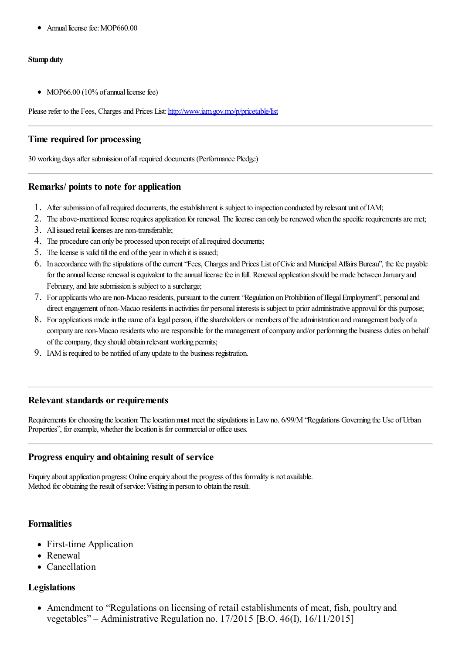• Annual license fee: MOP660.00

### **Stamp duty**

• MOP66.00 (10% of annual license fee)

Please refer to the Fees, Charges and Prices List: <http://www.iam.gov.mo/p/pricetable/list>

# **Time required for processing**

30 working daysafter submission ofallrequired documents (Performance Pledge)

## **Remarks/ points to note for application**

- 1. After submission of all required documents, the establishment is subject to inspection conducted by relevant unit of IAM;
- 2. The above-mentioned license requires application for renewal. The license can only be renewed when the specific requirements are met;
- 3. All issued retail licenses are non-transferable:
- 4. The procedure can only be processed upon receipt of all required documents;
- 5. The license is valid till the end of the year in which it is issued;
- 6. In accordance with thestipulations ofthecurrent"Fees, Chargesand Prices List ofCivicand MunicipalAffairs Bureau", thefee payable for the annual license renewal is equivalent to the annual license fee in full. Renewal application should be made between January and February, and late submission is subject to a surcharge;
- 7. Forapplicants who are non-Macao residents, pursuant to thecurrent"Regulation on Prohibition ofIllegalEmployment", personaland direct engagement of non-Macao residents in activities for personal interests is subject to prior administrative approval for this purpose;
- 8. For applications made in the name of a legal person, if the shareholders or members of the administration and management body of a company are non-Macao residents who are responsible for the management of company and/or performing the business duties on behalf of the company, they should obtain relevant working permits;
- 9. IAM is required to be notified of any update to the business registration.

### **Relevant standards or requirements**

Requirements for choosing the location: The location must meet the stipulations in Law no. 6/99/M "Regulations Governing the Use of Urban Properties", for example, whether the location is for commercial or office uses.

# **Progress enquiry and obtaining result of service**

Enquiry about application progress: Online enquiry about the progress of this formality is not available. Method for obtaining the result of service: Visiting in person to obtain the result.

# **Formalities**

- First-time Application
- Renewal
- Cancellation

# **Legislations**

Amendment to "Regulations on licensing of retail establishments of meat, fish, poultry and vegetables" – Administrative Regulation no. 17/2015 [B.O. 46(I), 16/11/2015]